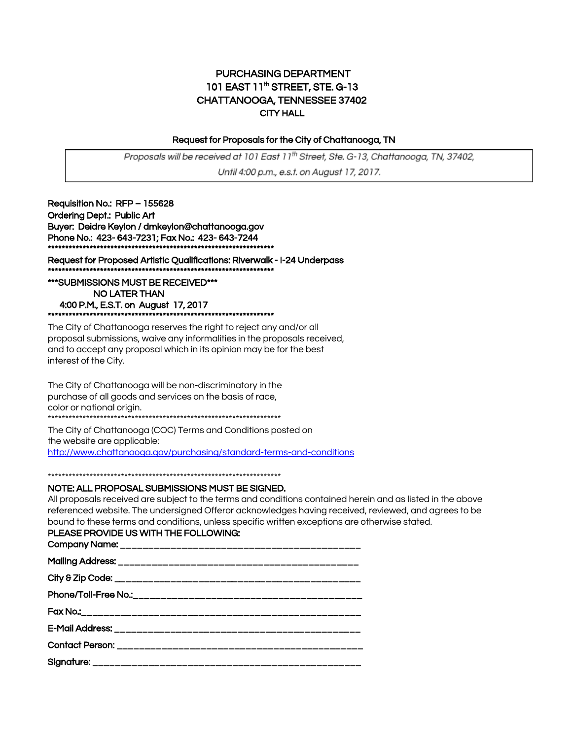#### PURCHASING DEPARTMENT 101 EAST 11<sup>th</sup> STREET, STE. G-13 CHATTANOOGA, TENNESSEE 37402 CITY HALL

#### Request for Proposals for the City of Chattanooga, TN

Proposals will be received at 101 East 11th Street, Ste. G-13, Chattanooga, TN, 37402, Until 4:00 p.m., e.s.t. on August 17, 2017.

Requisition No.: RFP – 155628 Ordering Dept.: Public Art Buyer: Deidre Keylon / dmkeylon@chattanooga.gov Phone No.: 423- 643-7231; Fax No.: 423- 643-7244 \*\*\*\*\*\*\*\*\*\*\*\*\*\*\*\*\*\*\*\*\*\*\*\*\*\*\*\*\*\*\*\*\*\*\*\*\*\*\*\*\*\*\*\*\*\*\*\*\*\*\*\*\*\*\*\*\*\*\*\*\*\*\*\*\*

Request for Proposed Artistic Qualifications: Riverwalk - I-24 Underpass \*\*\*\*\*\*\*\*\*\*\*\*\*\*\*\*\*\*\*\*\*\*\*\*\*\*\*\*\*\*\*\*\*\*\*\*\*\*\*\*\*\*\*\*\*\*\*\*\*\*\*\*\*\*\*\*\*\*\*\*\*\*\*\*\*

\*\*\*SUBMISSIONS MUST BE RECEIVED\*\*\* NO LATER THAN 4:00 P.M., E.S.T. on August 17, 2017 \*\*\*\*\*\*\*\*\*\*\*\*\*\*\*\*\*\*\*\*\*\*\*\*\*\*\*\*\*\*\*\*\*\*\*\*\*\*\*\*\*\*\*\*\*\*\*\*\*\*\*\*\*\*\*\*\*\*\*\*\*\*\*\*\*

The City of Chattanooga reserves the right to reject any and/or all proposal submissions, waive any informalities in the proposals received, and to accept any proposal which in its opinion may be for the best interest of the City.

The City of Chattanooga will be non-discriminatory in the purchase of all goods and services on the basis of race, color or national origin.

\*\*\*\*\*\*\*\*\*\*\*\*\*\*\*\*\*\*\*\*\*\*\*\*\*\*\*\*\*\*\*\*\*\*\*\*\*\*\*\*\*\*\*\*\*\*\*\*\*\*\*\*\*\*\*\*\*\*\*\*\*\*\*\*\*\*\*

The City of Chattanooga (COC) Terms and Conditions posted on the website are applicable:

<http://www.chattanooga.gov/purchasing/standard-terms-and-conditions>

\*\*\*\*\*\*\*\*\*\*\*\*\*\*\*\*\*\*\*\*\*\*\*\*\*\*\*\*\*\*\*\*\*\*\*\*\*\*\*\*\*\*\*\*\*\*\*\*\*\*\*\*\*\*\*\*\*\*\*\*\*\*\*\*\*\*\*

#### NOTE: ALL PROPOSAL SUBMISSIONS MUST BE SIGNED.

All proposals received are subject to the terms and conditions contained herein and as listed in the above referenced website. The undersigned Offeror acknowledges having received, reviewed, and agrees to be bound to these terms and conditions, unless specific written exceptions are otherwise stated.

#### PLEASE PROVIDE US WITH THE FOLLOWING: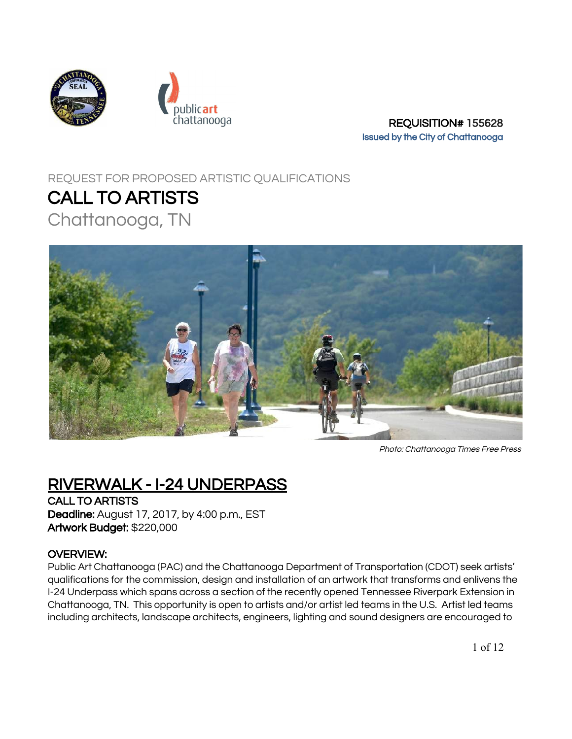



chattanooga entitled at the REQUISITION# 155628 Issued by the City of Chattanooga

# REQUEST FOR PROPOSED ARTISTIC QUALIFICATIONS

# CALL TO ARTISTS

Chattanooga, TN



Photo: Chattanooga Times Free Press

# RIVERWALK - I-24 UNDERPASS

CALL TO ARTISTS Deadline: August 17, 2017, by 4:00 p.m., EST Artwork Budget: \$220,000

## OVERVIEW:

Public Art Chattanooga (PAC) and the Chattanooga Department of Transportation (CDOT) seek artists' qualifications for the commission, design and installation of an artwork that transforms and enlivens the I-24 Underpass which spans across a section of the recently opened Tennessee Riverpark Extension in Chattanooga, TN. This opportunity is open to artists and/or artist led teams in the U.S. Artist led teams including architects, landscape architects, engineers, lighting and sound designers are encouraged to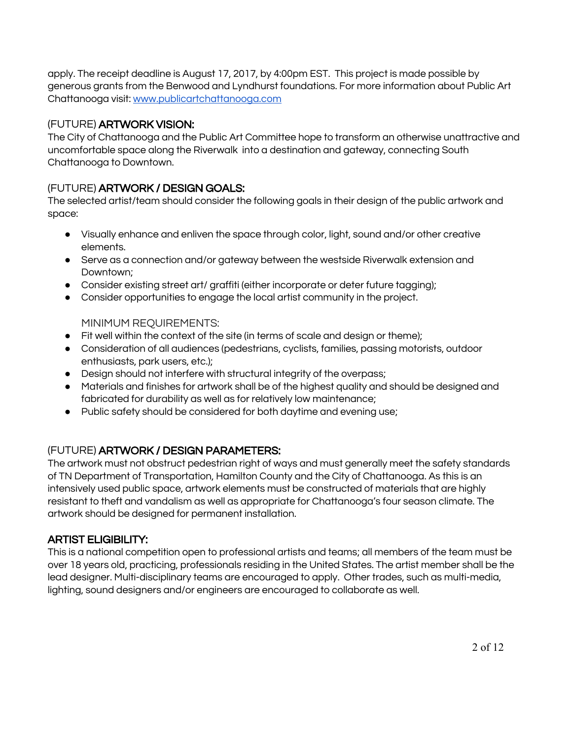apply. The receipt deadline is August 17, 2017, by 4:00pm EST. This project is made possible by generous grants from the Benwood and Lyndhurst foundations. For more information about Public Art Chattanooga visit: [www.publicartchattanooga.com](http://www.publicartchattanooga.com/)

#### (FUTURE) ARTWORK VISION:

The City of Chattanooga and the Public Art Committee hope to transform an otherwise unattractive and uncomfortable space along the Riverwalk into a destination and gateway, connecting South Chattanooga to Downtown.

## (FUTURE) ARTWORK / DESIGN GOALS:

The selected artist/team should consider the following goals in their design of the public artwork and space:

- Visually enhance and enliven the space through color, light, sound and/or other creative elements.
- Serve as a connection and/or gateway between the westside Riverwalk extension and Downtown;
- Consider existing street art/ graffiti (either incorporate or deter future tagging);
- Consider opportunities to engage the local artist community in the project.

MINIMUM REQUIREMENTS:

- Fit well within the context of the site (in terms of scale and design or theme);
- Consideration of all audiences (pedestrians, cyclists, families, passing motorists, outdoor enthusiasts, park users, etc.);
- Design should not interfere with structural integrity of the overpass;
- Materials and finishes for artwork shall be of the highest quality and should be designed and fabricated for durability as well as for relatively low maintenance;
- Public safety should be considered for both daytime and evening use;

## (FUTURE) ARTWORK / DESIGN PARAMETERS:

The artwork must not obstruct pedestrian right of ways and must generally meet the safety standards of TN Department of Transportation, Hamilton County and the City of Chattanooga. As this is an intensively used public space, artwork elements must be constructed of materials that are highly resistant to theft and vandalism as well as appropriate for Chattanooga's four season climate. The artwork should be designed for permanent installation.

## ARTIST ELIGIBILITY:

This is a national competition open to professional artists and teams; all members of the team must be over 18 years old, practicing, professionals residing in the United States. The artist member shall be the lead designer. Multi-disciplinary teams are encouraged to apply. Other trades, such as multi-media, lighting, sound designers and/or engineers are encouraged to collaborate as well.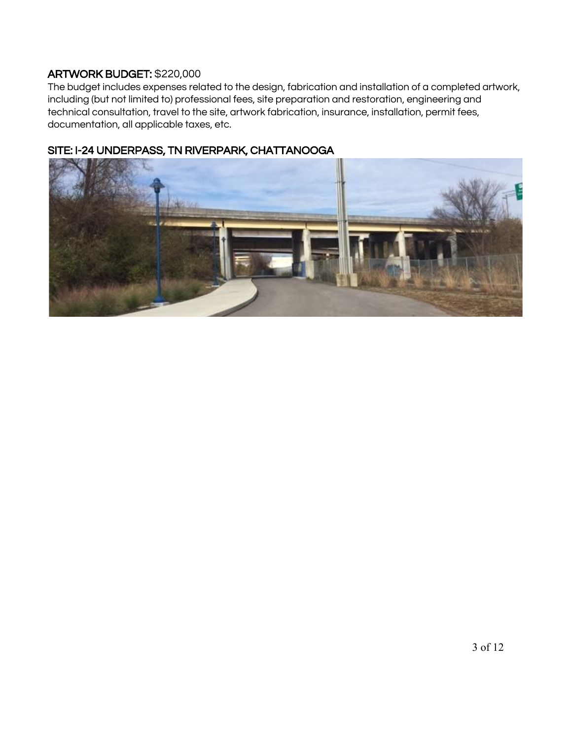## ARTWORK BUDGET: \$220,000

The budget includes expenses related to the design, fabrication and installation of a completed artwork, including (but not limited to) professional fees, site preparation and restoration, engineering and technical consultation, travel to the site, artwork fabrication, insurance, installation, permit fees, documentation, all applicable taxes, etc.



# SITE: I-24 UNDERPASS, TN RIVERPARK, CHATTANOOGA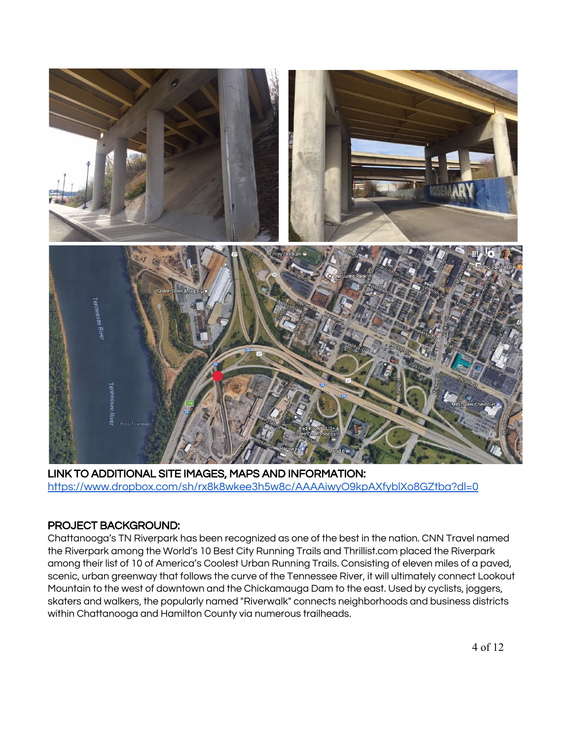

LINK TO ADDITIONAL SITE IMAGES, MAPS AND INFORMATION: <https://www.dropbox.com/sh/rx8k8wkee3h5w8c/AAAAiwyO9kpAXfyblXo8GZtba?dl=0>

#### PROJECT BACKGROUND:

Chattanooga's TN Riverpark has been recognized as one of the best in the nation. CNN Travel named the Riverpark among the World's 10 Best City Running Trails and Thrillist.com placed the Riverpark among their list of 10 of America's Coolest Urban Running Trails. Consisting of eleven miles of a paved, scenic, urban greenway that follows the curve of the Tennessee River, it will ultimately connect Lookout Mountain to the west of downtown and the Chickamauga Dam to the east. Used by cyclists, joggers, skaters and walkers, the popularly named "Riverwalk" connects neighborhoods and business districts within Chattanooga and Hamilton County via numerous trailheads.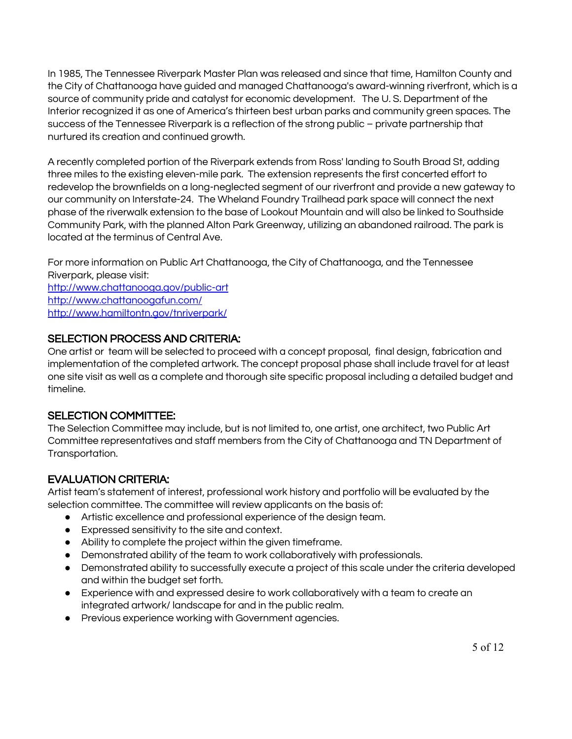In 1985, The Tennessee Riverpark Master Plan was released and since that time, Hamilton County and the City of Chattanooga have guided and managed Chattanooga's award-winning riverfront, which is a source of community pride and catalyst for economic development. The U. S. Department of the Interior recognized it as one of America's thirteen best urban parks and community green spaces. The success of the Tennessee Riverpark is a reflection of the strong public – private partnership that nurtured its creation and continued growth.

A recently completed portion of the Riverpark extends from Ross' landing to South Broad St, adding three miles to the existing eleven-mile park. The extension represents the first concerted effort to redevelop the brownfields on a long-neglected segment of our riverfront and provide a new gateway to our community on Interstate-24. The Wheland Foundry Trailhead park space will connect the next phase of the riverwalk extension to the base of Lookout Mountain and will also be linked to Southside Community Park, with the planned Alton Park Greenway, utilizing an abandoned railroad. The park is located at the terminus of Central Ave.

For more information on Public Art Chattanooga, the City of Chattanooga, and the Tennessee Riverpark, please visit: <http://www.chattanooga.gov/public-art> <http://www.chattanoogafun.com/> <http://www.hamiltontn.gov/tnriverpark/>

#### SELECTION PROCESS AND CRITERIA:

One artist or team will be selected to proceed with a concept proposal, final design, fabrication and implementation of the completed artwork. The concept proposal phase shall include travel for at least one site visit as well as a complete and thorough site specific proposal including a detailed budget and timeline.

#### SELECTION COMMITTEE:

The Selection Committee may include, but is not limited to, one artist, one architect, two Public Art Committee representatives and staff members from the City of Chattanooga and TN Department of Transportation.

#### EVALUATION CRITERIA:

Artist team's statement of interest, professional work history and portfolio will be evaluated by the selection committee. The committee will review applicants on the basis of:

- Artistic excellence and professional experience of the design team.
- Expressed sensitivity to the site and context.
- Ability to complete the project within the given timeframe.
- Demonstrated ability of the team to work collaboratively with professionals.
- Demonstrated ability to successfully execute a project of this scale under the criteria developed and within the budget set forth.
- Experience with and expressed desire to work collaboratively with a team to create an integrated artwork/ landscape for and in the public realm.
- Previous experience working with Government agencies.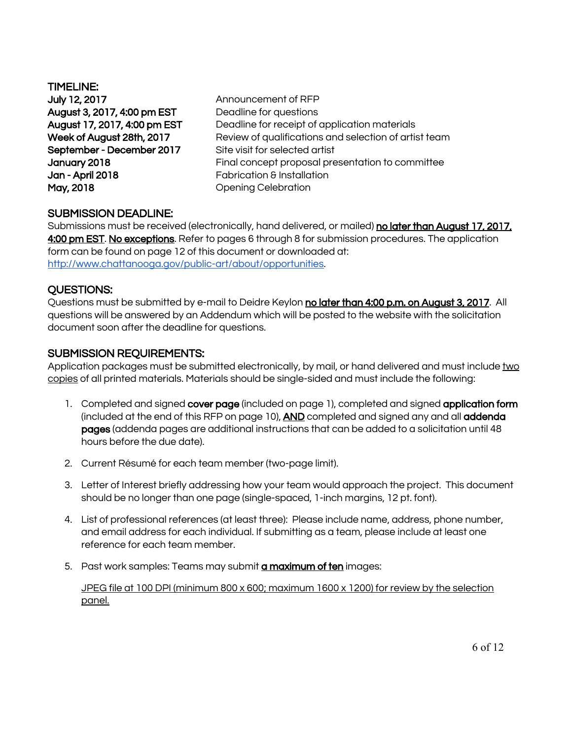TIMELINE: July 12, 2017 **Announcement of RFP** August 3, 2017, 4:00 pm EST Deadline for questions September - December 2017 Site visit for selected artist Jan - April 2018 Fabrication & Installation May, 2018 **May, 2018** Opening Celebration

August 17, 2017, 4:00 pm EST Deadline for receipt of application materials Week of August 28th, 2017 Review of qualifications and selection of artist team January 2018 Final concept proposal presentation to committee

#### SUBMISSION DEADLINE:

Submissions must be received (electronically, hand delivered, or mailed) no later than August 17, 2017, 4:00 pm EST. No exceptions. Refer to pages 6 through 8 for submission procedures. The application form can be found on page 12 of this document or downloaded at: [http://www.chattanooga.gov/public-art/about/opportunities.](http://www.chattanooga.gov/public-art/about/opportunities)

#### QUESTIONS:

Questions must be submitted by e-mail to Deidre Keylon no later than 4:00 p.m. on August 3, 2017. All questions will be answered by an Addendum which will be posted to the website with the solicitation document soon after the deadline for questions.

#### SUBMISSION REQUIREMENTS:

Application packages must be submitted electronically, by mail, or hand delivered and must include two copies of all printed materials. Materials should be single-sided and must include the following:

- 1. Completed and signed cover page (included on page 1), completed and signed application form (included at the end of this RFP on page 10), AND completed and signed any and all addenda pages (addenda pages are additional instructions that can be added to a solicitation until 48 hours before the due date).
- 2. Current Résumé for each team member (two-page limit).
- 3. Letter of Interest briefly addressing how your team would approach the project. This document should be no longer than one page (single-spaced, 1-inch margins, 12 pt. font).
- 4. List of professional references (at least three): Please include name, address, phone number, and email address for each individual. If submitting as a team, please include at least one reference for each team member.
- 5. Past work samples: Teams may submit **a maximum of ten** images:

JPEG file at 100 DPI (minimum 800 x 600; maximum 1600 x 1200) for review by the selection panel.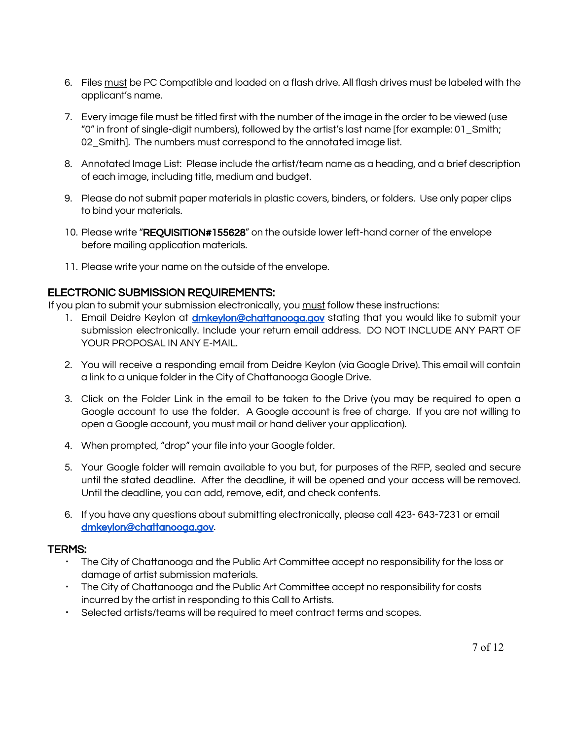- 6. Files must be PC Compatible and loaded on a flash drive. All flash drives must be labeled with the applicant's name.
- 7. Every image file must be titled first with the number of the image in the order to be viewed (use "0" in front of single-digit numbers), followed by the artist's last name [for example: 01\_Smith; 02 Smith]. The numbers must correspond to the annotated image list.
- 8. Annotated Image List: Please include the artist/team name as a heading, and a brief description of each image, including title, medium and budget.
- 9. Please do not submit paper materials in plastic covers, binders, or folders. Use only paper clips to bind your materials.
- 10. Please write "REQUISITION#155628" on the outside lower left-hand corner of the envelope before mailing application materials.
- 11. Please write your name on the outside of the envelope.

#### ELECTRONIC SUBMISSION REQUIREMENTS:

If you plan to submit your submission electronically, you must follow these instructions:

- 1. Email Deidre Keylon at **[dmkeylon@chattanooga.gov](mailto:dmkeylon@chattanooga.gov)** stating that you would like to submit your submission electronically. Include your return email address. DO NOT INCLUDE ANY PART OF YOUR PROPOSAL IN ANY E-MAIL.
- 2. You will receive a responding email from Deidre Keylon (via Google Drive). This email will contain a link to a unique folder in the City of Chattanooga Google Drive.
- 3. Click on the Folder Link in the email to be taken to the Drive (you may be required to open a Google account to use the folder. A Google account is free of charge. If you are not willing to open a Google account, you must mail or hand deliver your application).
- 4. When prompted, "drop" your file into your Google folder.
- 5. Your Google folder will remain available to you but, for purposes of the RFP, sealed and secure until the stated deadline. After the deadline, it will be opened and your access will be removed. Until the deadline, you can add, remove, edit, and check contents.
- 6. If you have any questions about submitting electronically, please call 423- 643-7231 or email [dmkeylon@chattanooga.gov](mailto:dmkeylon@chattanooga.gov).

#### TERMS:

- The City of Chattanooga and the Public Art Committee accept no responsibility for the loss or damage of artist submission materials.
- The City of Chattanooga and the Public Art Committee accept no responsibility for costs incurred by the artist in responding to this Call to Artists.
- Selected artists/teams will be required to meet contract terms and scopes.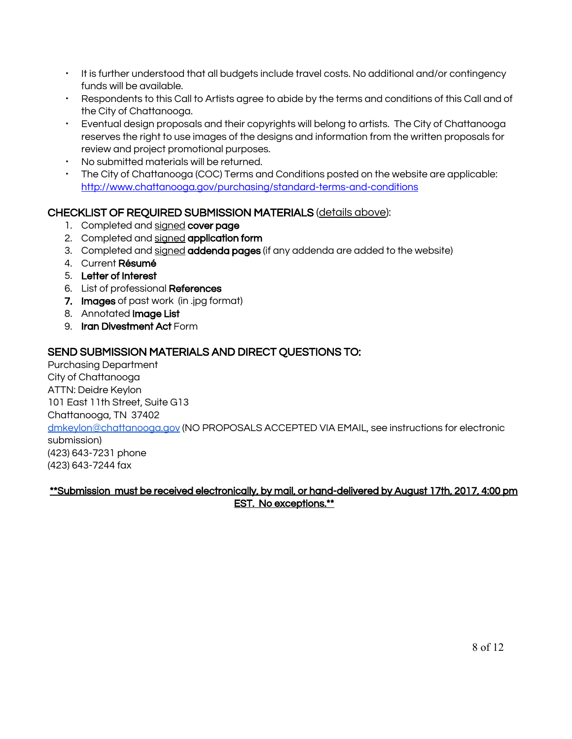- It is further understood that all budgets include travel costs. No additional and/or contingency funds will be available.
- Respondents to this Call to Artists agree to abide by the terms and conditions of this Call and of the City of Chattanooga.
- Eventual design proposals and their copyrights will belong to artists. The City of Chattanooga reserves the right to use images of the designs and information from the written proposals for review and project promotional purposes.
- No submitted materials will be returned.
- The City of Chattanooga (COC) Terms and Conditions posted on the website are applicable: <http://www.chattanooga.gov/purchasing/standard-terms-and-conditions>

#### CHECKLIST OF REQUIRED SUBMISSION MATERIALS (details above):

- 1. Completed and signed cover page
- 2. Completed and signed application form
- 3. Completed and signed addenda pages (if any addenda are added to the website)
- 4. Current Résumé
- 5. Letter of Interest
- 6. List of professional References
- 7. Images of past work (in .jpg format)
- 8. Annotated Image List
- 9. Iran Divestment Act Form

#### SEND SUBMISSION MATERIALS AND DIRECT QUESTIONS TO:

Purchasing Department City of Chattanooga ATTN: Deidre Keylon 101 East 11th Street, Suite G13 Chattanooga, TN 37402 [dmkeylon@chattanooga.gov](mailto:dmkeylon@chattanooga.gov) ( NO PROPOSALS ACCEPTED VIA EMAIL, see instructions for electronic submission) (423) 643-7231 phone (423) 643-7244 fax

\*\*Submission must be received electronically, by mail, or hand-delivered by August 17th, 2017, 4:00 pm EST. No exceptions.\*\*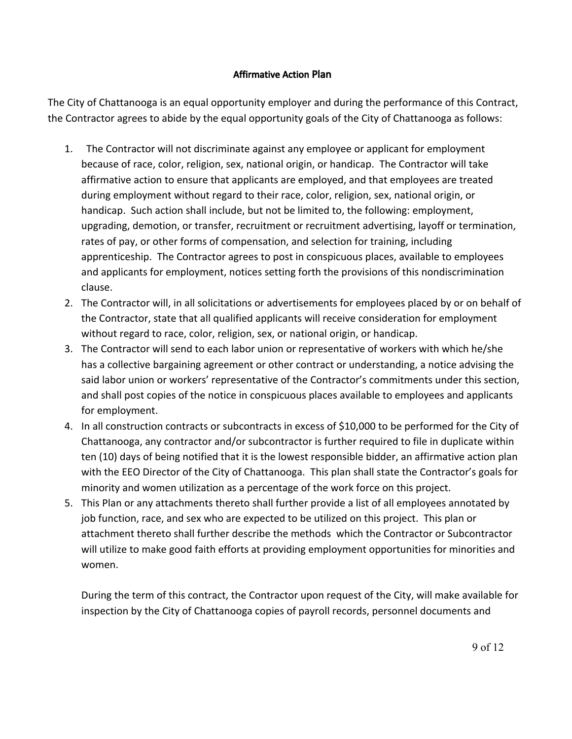#### Affirmative Action Plan

The City of Chattanooga is an equal opportunity employer and during the performance of this Contract, the Contractor agrees to abide by the equal opportunity goals of the City of Chattanooga as follows:

- 1. The Contractor will not discriminate against any employee or applicant for employment because of race, color, religion, sex, national origin, or handicap. The Contractor will take affirmative action to ensure that applicants are employed, and that employees are treated during employment without regard to their race, color, religion, sex, national origin, or handicap. Such action shall include, but not be limited to, the following: employment, upgrading, demotion, or transfer, recruitment or recruitment advertising, layoff or termination, rates of pay, or other forms of compensation, and selection for training, including apprenticeship. The Contractor agrees to post in conspicuous places, available to employees and applicants for employment, notices setting forth the provisions of this nondiscrimination clause.
- 2. The Contractor will, in all solicitations or advertisements for employees placed by or on behalf of the Contractor, state that all qualified applicants will receive consideration for employment without regard to race, color, religion, sex, or national origin, or handicap.
- 3. The Contractor will send to each labor union or representative of workers with which he/she has a collective bargaining agreement or other contract or understanding, a notice advising the said labor union or workers' representative of the Contractor's commitments under this section, and shall post copies of the notice in conspicuous places available to employees and applicants for employment.
- 4. In all construction contracts or subcontracts in excess of \$10,000 to be performed for the City of Chattanooga, any contractor and/or subcontractor is further required to file in duplicate within ten (10) days of being notified that it is the lowest responsible bidder, an affirmative action plan with the EEO Director of the City of Chattanooga. This plan shall state the Contractor's goals for minority and women utilization as a percentage of the work force on this project.
- 5. This Plan or any attachments thereto shall further provide a list of all employees annotated by job function, race, and sex who are expected to be utilized on this project. This plan or attachment thereto shall further describe the methods which the Contractor or Subcontractor will utilize to make good faith efforts at providing employment opportunities for minorities and women.

During the term of this contract, the Contractor upon request of the City, will make available for inspection by the City of Chattanooga copies of payroll records, personnel documents and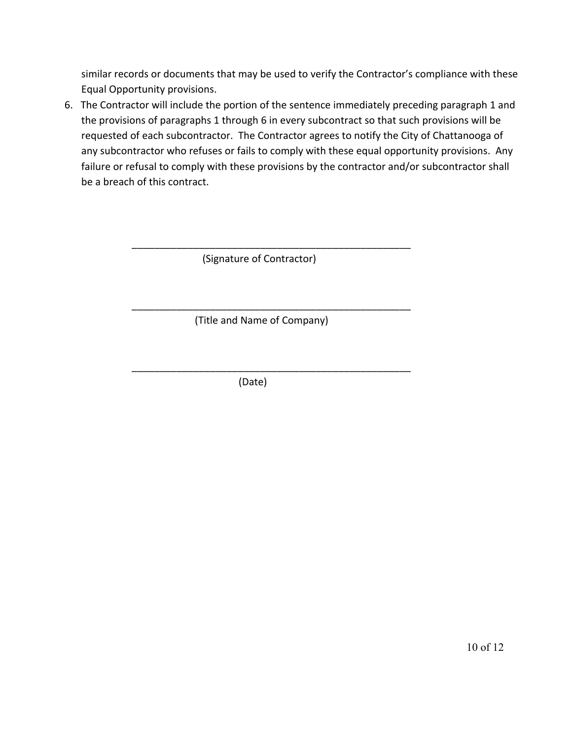similar records or documents that may be used to verify the Contractor's compliance with these Equal Opportunity provisions.

6. The Contractor will include the portion of the sentence immediately preceding paragraph 1 and the provisions of paragraphs 1 through 6 in every subcontract so that such provisions will be requested of each subcontractor. The Contractor agrees to notify the City of Chattanooga of any subcontractor who refuses or fails to comply with these equal opportunity provisions. Any failure or refusal to comply with these provisions by the contractor and/or subcontractor shall be a breach of this contract.

(Signature of Contractor)

\_\_\_\_\_\_\_\_\_\_\_\_\_\_\_\_\_\_\_\_\_\_\_\_\_\_\_\_\_\_\_\_\_\_\_\_\_\_\_\_\_\_\_\_\_\_\_\_\_\_

\_\_\_\_\_\_\_\_\_\_\_\_\_\_\_\_\_\_\_\_\_\_\_\_\_\_\_\_\_\_\_\_\_\_\_\_\_\_\_\_\_\_\_\_\_\_\_\_\_\_

\_\_\_\_\_\_\_\_\_\_\_\_\_\_\_\_\_\_\_\_\_\_\_\_\_\_\_\_\_\_\_\_\_\_\_\_\_\_\_\_\_\_\_\_\_\_\_\_\_\_

(Title and Name of Company)

(Date)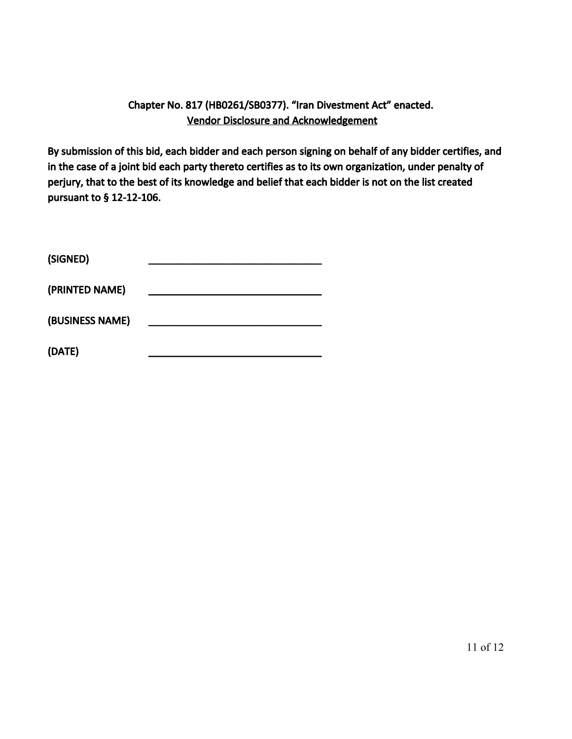# Chapter No. 817 (HB0261/SB0377). "Iran Divestment Act" enacted. Vendor Disclosure and Acknowledgement

By submission of this bid, each bidder and each person signing on behalf of any bidder certifies, and in the case of a joint bid each party thereto certifies as to its own organization, under penalty of perjury, that to the best of its knowledge and belief that each bidder is not on the list created pursuant to § 12-12-106.

| (SIGNED)        |  |
|-----------------|--|
| (PRINTED NAME)  |  |
| (BUSINESS NAME) |  |
| (DATE)          |  |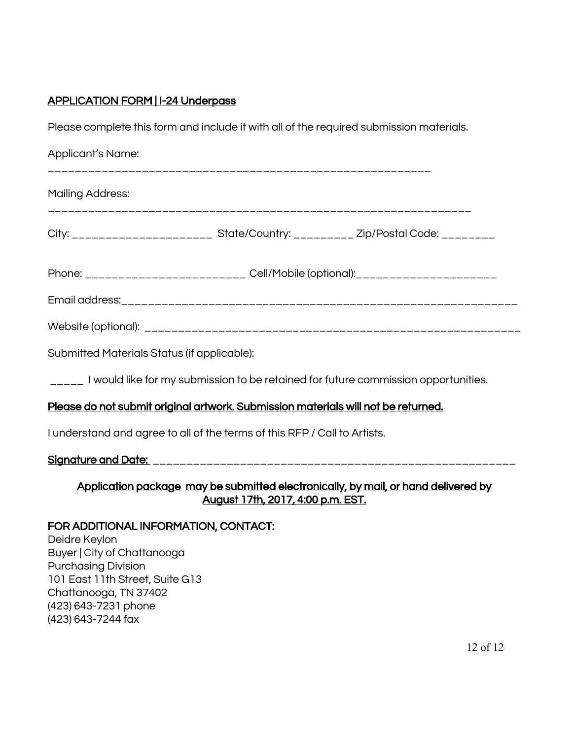# APPLICATION FORM | I-24 Underpass

Please complete this form and include it with all of the required submission materials.

| Applicant's Name:                                                                                                                                                                                                            |  |  |
|------------------------------------------------------------------------------------------------------------------------------------------------------------------------------------------------------------------------------|--|--|
| <b>Mailing Address:</b>                                                                                                                                                                                                      |  |  |
| City: _______________________ State/Country: _________ Zip/Postal Code: ________                                                                                                                                             |  |  |
| Phone: ________________________ Cell/Mobile (optional): _______________________                                                                                                                                              |  |  |
|                                                                                                                                                                                                                              |  |  |
|                                                                                                                                                                                                                              |  |  |
| Submitted Materials Status (if applicable):                                                                                                                                                                                  |  |  |
| $\frac{1}{2}$ I would like for my submission to be retained for future commission opportunities.                                                                                                                             |  |  |
| Please do not submit original artwork. Submission materials will not be returned.                                                                                                                                            |  |  |
| I understand and agree to all of the terms of this RFP / Call to Artists.                                                                                                                                                    |  |  |
|                                                                                                                                                                                                                              |  |  |
| Application package may be submitted electronically, by mail, or hand delivered by<br>August 17th, 2017, 4:00 p.m. EST.                                                                                                      |  |  |
| FOR ADDITIONAL INFORMATION, CONTACT:<br>Deidre Keylon<br>Buyer   City of Chattanooga<br><b>Purchasing Division</b><br>101 East 11th Street, Suite G13<br>Chattanooga, TN 37402<br>(423) 643-7231 phone<br>(423) 643-7244 fax |  |  |